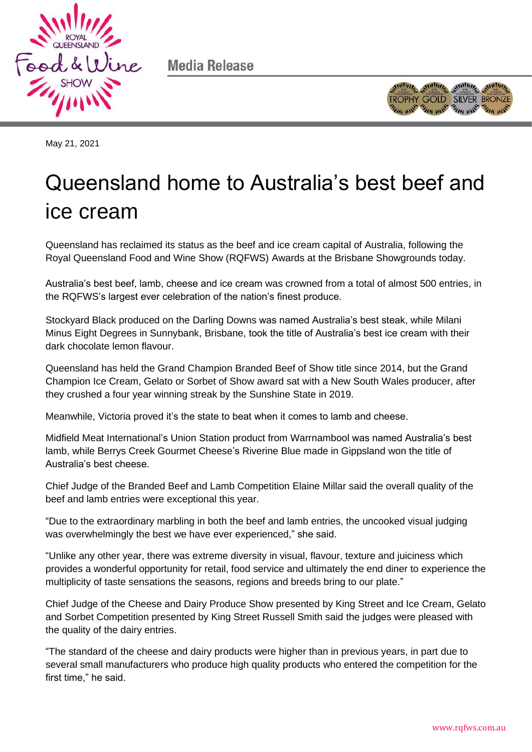



May 21, 2021

## Queensland home to Australia's best beef and ice cream

Queensland has reclaimed its status as the beef and ice cream capital of Australia, following the Royal Queensland Food and Wine Show (RQFWS) Awards at the Brisbane Showgrounds today.

Australia's best beef, lamb, cheese and ice cream was crowned from a total of almost 500 entries, in the RQFWS's largest ever celebration of the nation's finest produce.

Stockyard Black produced on the Darling Downs was named Australia's best steak, while Milani Minus Eight Degrees in Sunnybank, Brisbane, took the title of Australia's best ice cream with their dark chocolate lemon flavour.

Queensland has held the Grand Champion Branded Beef of Show title since 2014, but the Grand Champion Ice Cream, Gelato or Sorbet of Show award sat with a New South Wales producer, after they crushed a four year winning streak by the Sunshine State in 2019.

Meanwhile, Victoria proved it's the state to beat when it comes to lamb and cheese.

Midfield Meat International's Union Station product from Warrnambool was named Australia's best lamb, while Berrys Creek Gourmet Cheese's Riverine Blue made in Gippsland won the title of Australia's best cheese.

Chief Judge of the Branded Beef and Lamb Competition Elaine Millar said the overall quality of the beef and lamb entries were exceptional this year.

"Due to the extraordinary marbling in both the beef and lamb entries, the uncooked visual judging was overwhelmingly the best we have ever experienced," she said.

"Unlike any other year, there was extreme diversity in visual, flavour, texture and juiciness which provides a wonderful opportunity for retail, food service and ultimately the end diner to experience the multiplicity of taste sensations the seasons, regions and breeds bring to our plate."

Chief Judge of the Cheese and Dairy Produce Show presented by King Street and Ice Cream, Gelato and Sorbet Competition presented by King Street Russell Smith said the judges were pleased with the quality of the dairy entries.

"The standard of the cheese and dairy products were higher than in previous years, in part due to several small manufacturers who produce high quality products who entered the competition for the first time," he said.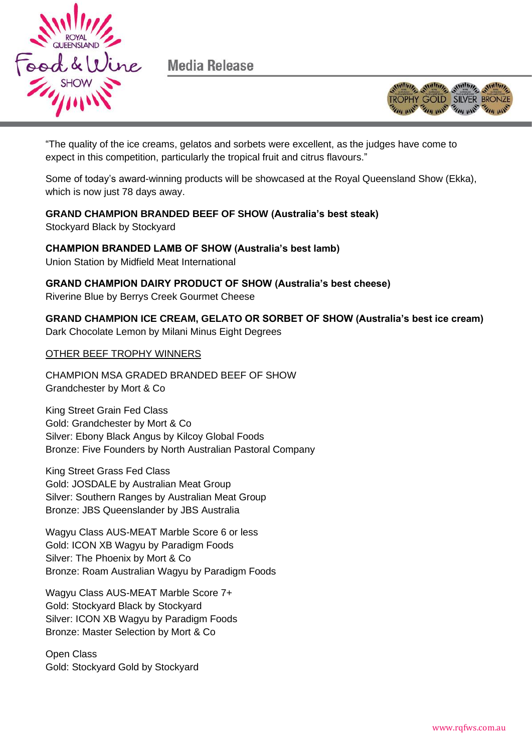



"The quality of the ice creams, gelatos and sorbets were excellent, as the judges have come to expect in this competition, particularly the tropical fruit and citrus flavours."

Some of today's award-winning products will be showcased at the Royal Queensland Show (Ekka), which is now just 78 days away.

**GRAND CHAMPION BRANDED BEEF OF SHOW (Australia's best steak)**  Stockyard Black by Stockyard

**CHAMPION BRANDED LAMB OF SHOW (Australia's best lamb)** Union Station by Midfield Meat International

**GRAND CHAMPION DAIRY PRODUCT OF SHOW (Australia's best cheese)** Riverine Blue by Berrys Creek Gourmet Cheese

**GRAND CHAMPION ICE CREAM, GELATO OR SORBET OF SHOW (Australia's best ice cream)**  Dark Chocolate Lemon by Milani Minus Eight Degrees

OTHER BEEF TROPHY WINNERS

CHAMPION MSA GRADED BRANDED BEEF OF SHOW Grandchester by Mort & Co

King Street Grain Fed Class Gold: Grandchester by Mort & Co Silver: Ebony Black Angus by Kilcoy Global Foods Bronze: Five Founders by North Australian Pastoral Company

King Street Grass Fed Class Gold: JOSDALE by Australian Meat Group Silver: Southern Ranges by Australian Meat Group Bronze: JBS Queenslander by JBS Australia

Wagyu Class AUS-MEAT Marble Score 6 or less Gold: ICON XB Wagyu by Paradigm Foods Silver: The Phoenix by Mort & Co Bronze: Roam Australian Wagyu by Paradigm Foods

Wagyu Class AUS-MEAT Marble Score 7+ Gold: Stockyard Black by Stockyard Silver: ICON XB Wagyu by Paradigm Foods Bronze: Master Selection by Mort & Co

Open Class Gold: Stockyard Gold by Stockyard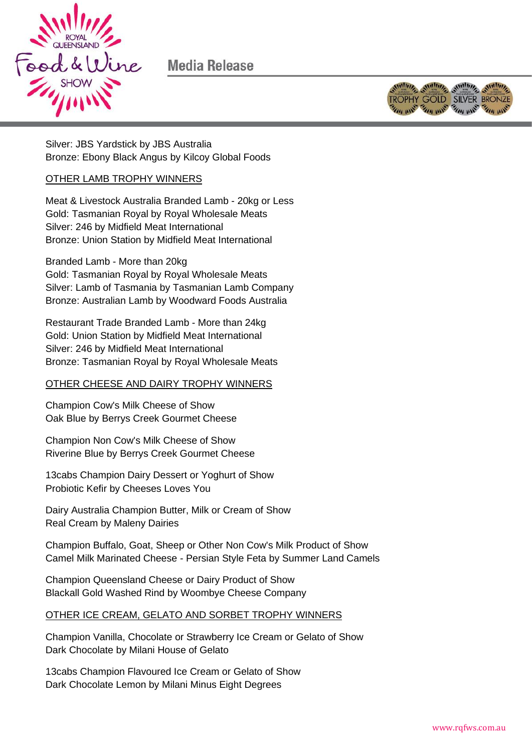



Silver: JBS Yardstick by JBS Australia Bronze: Ebony Black Angus by Kilcoy Global Foods

## OTHER LAMB TROPHY WINNERS

Meat & Livestock Australia Branded Lamb - 20kg or Less Gold: Tasmanian Royal by Royal Wholesale Meats Silver: 246 by Midfield Meat International Bronze: Union Station by Midfield Meat International

Branded Lamb - More than 20kg Gold: Tasmanian Royal by Royal Wholesale Meats Silver: Lamb of Tasmania by Tasmanian Lamb Company Bronze: Australian Lamb by Woodward Foods Australia

Restaurant Trade Branded Lamb - More than 24kg Gold: Union Station by Midfield Meat International Silver: 246 by Midfield Meat International Bronze: Tasmanian Royal by Royal Wholesale Meats

## OTHER CHEESE AND DAIRY TROPHY WINNERS

Champion Cow's Milk Cheese of Show Oak Blue by Berrys Creek Gourmet Cheese

Champion Non Cow's Milk Cheese of Show Riverine Blue by Berrys Creek Gourmet Cheese

13cabs Champion Dairy Dessert or Yoghurt of Show Probiotic Kefir by Cheeses Loves You

Dairy Australia Champion Butter, Milk or Cream of Show Real Cream by Maleny Dairies

Champion Buffalo, Goat, Sheep or Other Non Cow's Milk Product of Show Camel Milk Marinated Cheese - Persian Style Feta by Summer Land Camels

Champion Queensland Cheese or Dairy Product of Show Blackall Gold Washed Rind by Woombye Cheese Company

## OTHER ICE CREAM, GELATO AND SORBET TROPHY WINNERS

Champion Vanilla, Chocolate or Strawberry Ice Cream or Gelato of Show Dark Chocolate by Milani House of Gelato

13cabs Champion Flavoured Ice Cream or Gelato of Show Dark Chocolate Lemon by Milani Minus Eight Degrees